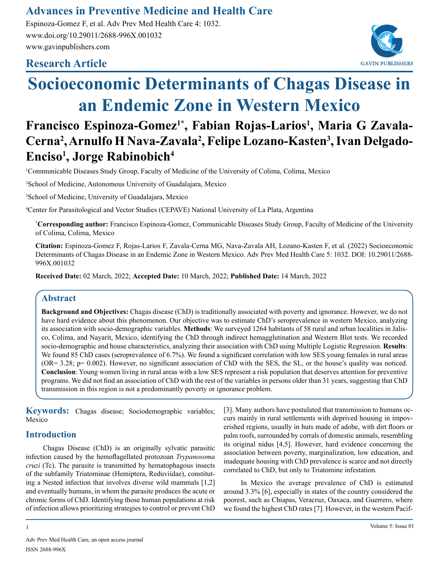# **Advances in Preventive Medicine and Health Care**

Espinoza-Gomez F, et al. Adv Prev Med Health Care 4: 1032. www.doi.org/10.29011/2688-996X.001032 www.gavinpublishers.com

# **Research Article**



# **Socioeconomic Determinants of Chagas Disease in an Endemic Zone in Western Mexico**

# **Francisco Espinoza-Gomez1\*, Fabian Rojas-Larios1 , Maria G Zavala-Cerna2 , Arnulfo H Nava-Zavala2 , Felipe Lozano-Kasten3 , Ivan Delgado-Enciso1 , Jorge Rabinobich4**

1 Communicable Diseases Study Group, Faculty of Medicine of the University of Colima, Colima, Mexico

2 School of Medicine, Autonomous University of Guadalajara, Mexico

3 School of Medicine, University of Guadalajara, Mexico

4 Center for Parasitological and Vector Studies (CEPAVE) National University of La Plata, Argentina

**\* Corresponding author:** Francisco Espinoza-Gomez, Communicable Diseases Study Group, Faculty of Medicine of the University of Colima, Colima, Mexico

**Citation:** Espinoza-Gomez F, Rojas-Larios F, Zavala-Cerna MG, Nava-Zavala AH, Lozano-Kasten F, et al. (2022) Socioeconomic Determinants of Chagas Disease in an Endemic Zone in Western Mexico. Adv Prev Med Health Care 5: 1032. DOI: 10.29011/2688- 996X.001032

**Received Date:** 02 March, 2022; **Accepted Date:** 10 March, 2022; **Published Date:** 14 March, 2022

## **Abstract**

**Background and Objectives:** Chagas disease (ChD) is traditionally associated with poverty and ignorance. However, we do not have hard evidence about this phenomenon. Our objective was to estimate ChD's seroprevalence in western Mexico, analyzing its association with socio-demographic variables. **Methods**: We surveyed 1264 habitants of 58 rural and urban localities in Jalisco, Colima, and Nayarit, Mexico, identifying the ChD through indirect hemagglutination and Western Blot tests. We recorded socio-demographic and house characteristics, analyzing their association with ChD using Multiple Logistic Regression. **Results**: We found 85 ChD cases (seroprevalence of 6.7%). We found a significant correlation with low SES young females in rural areas (OR= 3.28; p= 0.002). However, no significant association of ChD with the SES, the SL, or the house's quality was noticed. **Conclusion**: Young women living in rural areas with a low SES represent a risk population that deserves attention for preventive programs. We did not find an association of ChD with the rest of the variables in persons older than 31 years, suggesting that ChD transmission in this region is not a predominantly poverty or ignorance problem.

**Keywords:** Chagas disease; Sociodemographic variables; Mexico

# **Introduction**

Chagas Disease (ChD) is an originally sylvatic parasitic infection caused by the hemoflagellated protozoan *Trypanosoma cruzi* (Tc). The parasite is transmitted by hematophagous insects of the subfamily Triatominae (Hemiptera, Reduviidae), constituting a Nested infection that involves diverse wild mammals [1,2] and eventually humans, in whom the parasite produces the acute or chronic forms of ChD. Identifying those human populations at risk of infection allows prioritizing strategies to control or prevent ChD

[3]. Many authors have postulated that transmission to humans occurs mainly in rural settlements with deprived housing in impoverished regions, usually in huts made of adobe, with dirt floors or palm roofs, surrounded by corrals of domestic animals, resembling its original nidus [4,5]. However, hard evidence concerning the association between poverty, marginalization, low education, and inadequate housing with ChD prevalence is scarce and not directly correlated to ChD, but only to Triatomine infestation.

In Mexico the average prevalence of ChD is estimated around 3.3% [6], especially in states of the country considered the poorest, such as Chiapas, Veracruz, Oaxaca, and Guerrero, where we found the highest ChD rates [7]. However, in the western Pacif-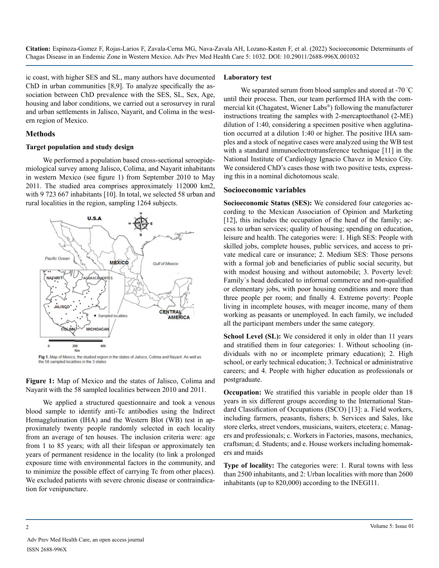ic coast, with higher SES and SL, many authors have documented ChD in urban communities [8,9]. To analyze specifically the association between ChD prevalence with the SES, SL, Sex, Age, housing and labor conditions, we carried out a serosurvey in rural and urban settlements in Jalisco, Nayarit, and Colima in the western region of Mexico.

#### **Methods**

#### **Target population and study design**

We performed a population based cross-sectional seroepidemiological survey among Jalisco, Colima, and Nayarit inhabitants in western Mexico (see figure 1) from September 2010 to May 2011. The studied area comprises approximately 112000 km2, with 9 723 667 inhabitants [10]. In total, we selected 58 urban and rural localities in the region, sampling 1264 subjects.



Fig 1. Map of Mexico, the studied region in the states of Jalisco, Colima and Nayarit. As well as the 58 sampled localities in the 3 states

**Figure 1:** Map of Mexico and the states of Jalisco, Colima and Nayarit with the 58 sampled localities between 2010 and 2011.

We applied a structured questionnaire and took a venous blood sample to identify anti-Tc antibodies using the Indirect Hemagglutination (IHA) and the Western Blot (WB) test in approximately twenty people randomly selected in each locality from an average of ten houses. The inclusion criteria were: age from 1 to 85 years; with all their lifespan or approximately ten years of permanent residence in the locality (to link a prolonged exposure time with environmental factors in the community, and to minimize the possible effect of carrying Tc from other places). We excluded patients with severe chronic disease or contraindication for venipuncture.

#### **Laboratory test**

We separated serum from blood samples and stored at -70 °C until their process. Then, our team performed IHA with the commercial kit (Chagatest, Wiener Labs®) following the manufacturer instructions treating the samples with 2-mercaptoethanol (2-ME) dilution of 1:40, considering a specimen positive when agglutination occurred at a dilution 1:40 or higher. The positive IHA samples and a stock of negative cases were analyzed using the WB test with a standard immunoelectrotransference technique [11] in the National Institute of Cardiology Ignacio Chavez in Mexico City. We considered ChD's cases those with two positive tests, expressing this in a nominal dichotomous scale.

#### **Socioeconomic variables**

**Socioeconomic Status (SES):** We considered four categories according to the Mexican Association of Opinion and Marketing [12], this includes the occupation of the head of the family; access to urban services; quality of housing; spending on education, leisure and health. The categories were: 1. High SES: People with skilled jobs, complete houses, public services, and access to private medical care or insurance; 2. Medium SES: Those persons with a formal job and beneficiaries of public social security, but with modest housing and without automobile; 3. Poverty level: Family´s head dedicated to informal commerce and non-qualified or elementary jobs, with poor housing conditions and more than three people per room; and finally 4. Extreme poverty: People living in incomplete houses, with meager income, many of them working as peasants or unemployed. In each family, we included all the participant members under the same category.

**School Level (SL):** We considered it only in older than 11 years and stratified them in four categories: 1. Without schooling (individuals with no or incomplete primary education); 2. High school, or early technical education; 3. Technical or administrative careers; and 4. People with higher education as professionals or postgraduate.

**Occupation:** We stratified this variable in people older than 18 years in six different groups according to the International Standard Classification of Occupations (ISCO) [13]: a. Field workers, including farmers, peasants, fishers; b. Services and Sales, like store clerks, street vendors, musicians, waiters, etcetera; c. Managers and professionals; c. Workers in Factories, masons, mechanics, craftsman; d. Students; and e. House workers including homemakers and maids

**Type of locality:** The categories were: 1. Rural towns with less than 2500 inhabitants, and 2: Urban localities with more than 2600 inhabitants (up to 820,000) according to the INEGI11.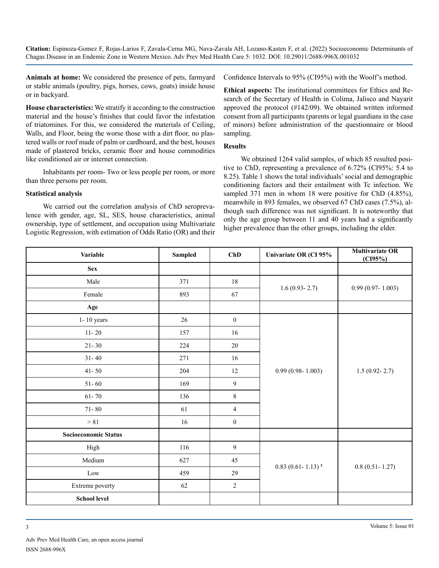**Animals at home:** We considered the presence of pets, farmyard or stable animals (poultry, pigs, horses, cows, goats) inside house or in backyard.

**House characteristics:** We stratify it according to the construction material and the house's finishes that could favor the infestation of triatomines. For this, we considered the materials of Ceiling, Walls, and Floor, being the worse those with a dirt floor, no plastered walls or roof made of palm or cardboard, and the best, houses made of plastered bricks, ceramic floor and house commodities like conditioned air or internet connection.

Inhabitants per room- Two or less people per room, or more than three persons per room.

#### **Statistical analysis**

We carried out the correlation analysis of ChD seroprevalence with gender, age, SL, SES, house characteristics, animal ownership, type of settlement, and occupation using Multivariate Logistic Regression, with estimation of Odds Ratio (OR) and their Confidence Intervals to 95% (CI95%) with the Woolf's method.

**Ethical aspects:** The institutional committees for Ethics and Research of the Secretary of Health in Colima, Jalisco and Nayarit approved the protocol (#142/09). We obtained written informed consent from all participants (parents or legal guardians in the case of minors) before administration of the questionnaire or blood sampling.

#### **Results**

We obtained 1264 valid samples, of which 85 resulted positive to ChD, representing a prevalence of 6.72% (CI95%: 5.4 to 8.25). Table 1 shows the total individuals' social and demographic conditioning factors and their entailment with Tc infection. We sampled 371 men in whom 18 were positive for ChD (4.85%), meanwhile in 893 females, we observed 67 ChD cases (7.5%), although such difference was not significant. It is noteworthy that only the age group between 11 and 40 years had a significantly higher prevalence than the other groups, including the elder.

| <b>Variable</b>             | <b>Sampled</b> | ChD              | Univariate OR (CI 95%             | <b>Multivariate OR</b><br>(CI95%) |
|-----------------------------|----------------|------------------|-----------------------------------|-----------------------------------|
| <b>Sex</b>                  |                |                  |                                   |                                   |
| Male                        | 371            | 18               |                                   | $0.99(0.97 - 1.003)$              |
| Female                      | 893            | 67               | $1.6(0.93 - 2.7)$                 |                                   |
| Age                         |                |                  |                                   |                                   |
| $1 - 10$ years              | 26             | $\boldsymbol{0}$ |                                   | $1.5(0.92 - 2.7)$                 |
| $11 - 20$                   | 157            | 16               |                                   |                                   |
| $21 - 30$                   | 224            | $20\,$           |                                   |                                   |
| $31 - 40$                   | 271            | 16               |                                   |                                   |
| $41 - 50$                   | 204            | 12               | $0.99(0.98 - 1.003)$              |                                   |
| $51 - 60$                   | 169            | 9                |                                   |                                   |
| $61 - 70$                   | 136            | $8\,$            |                                   |                                   |
| $71 - 80$                   | 61             | $\overline{4}$   |                                   |                                   |
| $>81$                       | 16             | $\boldsymbol{0}$ |                                   |                                   |
| <b>Socioeconomic Status</b> |                |                  |                                   |                                   |
| High                        | 116            | $\boldsymbol{9}$ |                                   | $0.8(0.51 - 1.27)$                |
| Medium                      | 627            | 45               | $0.83$ (0.61 - 1.13) <sup>2</sup> |                                   |
| $_{\rm Low}$                | 459            | 29               |                                   |                                   |
| Extreme poverty             | $62\,$         | $\sqrt{2}$       |                                   |                                   |
| <b>School level</b>         |                |                  |                                   |                                   |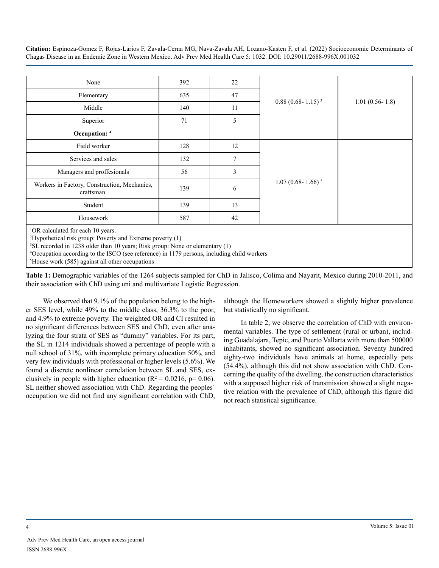| None                                                                                                                                                                                                                                                                                                                                                                                                    | 392 | 22             |                         |                    |
|---------------------------------------------------------------------------------------------------------------------------------------------------------------------------------------------------------------------------------------------------------------------------------------------------------------------------------------------------------------------------------------------------------|-----|----------------|-------------------------|--------------------|
| Elementary                                                                                                                                                                                                                                                                                                                                                                                              | 635 | 47             |                         |                    |
| Middle                                                                                                                                                                                                                                                                                                                                                                                                  | 140 | 11             | $0.88(0.68 - 1.15)^{3}$ | $1.01(0.56 - 1.8)$ |
| Superior                                                                                                                                                                                                                                                                                                                                                                                                | 71  | 5              |                         |                    |
| Occupation: 4                                                                                                                                                                                                                                                                                                                                                                                           |     |                |                         |                    |
| Field worker                                                                                                                                                                                                                                                                                                                                                                                            | 128 | 12             |                         |                    |
| Services and sales                                                                                                                                                                                                                                                                                                                                                                                      | 132 | 7              |                         |                    |
| Managers and proffesionals                                                                                                                                                                                                                                                                                                                                                                              | 56  | $\mathfrak{Z}$ |                         |                    |
| Workers in Factory, Construction, Mechanics,<br>craftsman                                                                                                                                                                                                                                                                                                                                               | 139 | 6              | $1.07(0.68 - 1.66)^5$   |                    |
| Student                                                                                                                                                                                                                                                                                                                                                                                                 | 139 | 13             |                         |                    |
| Housework                                                                                                                                                                                                                                                                                                                                                                                               | 587 | 42             |                         |                    |
| <sup>1</sup> OR calculated for each 10 years.<br><sup>2</sup> Hypothetical risk group: Poverty and Extreme poverty (1)<br><sup>3</sup> SL recorded in 1238 older than 10 years; Risk group: None or elementary (1)<br><sup>4</sup> Occupation according to the ISCO (see reference) in 1179 persons, including child workers<br>$5T$ , and $(0.05)$ and $(0.05)$ and $(1.01)$ and $(0.01)$ and $(1.00)$ |     |                |                         |                    |

5 House work (585) against all other occupations

**Table 1:** Demographic variables of the 1264 subjects sampled for ChD in Jalisco, Colima and Nayarit, Mexico during 2010-2011, and their association with ChD using uni and multivariate Logistic Regression.

We observed that 9.1% of the population belong to the higher SES level, while 49% to the middle class, 36.3% to the poor, and 4.9% to extreme poverty. The weighted OR and CI resulted in no significant differences between SES and ChD, even after analyzing the four strata of SES as "dummy" variables. For its part, the SL in 1214 individuals showed a percentage of people with a null school of 31%, with incomplete primary education 50%, and very few individuals with professional or higher levels (5.6%). We found a discrete nonlinear correlation between SL and SES, exclusively in people with higher education ( $R^2 = 0.0216$ , p= 0.06). SL neither showed association with ChD. Regarding the peoples´ occupation we did not find any significant correlation with ChD,

although the Homeworkers showed a slightly higher prevalence but statistically no significant.

In table 2, we observe the correlation of ChD with environmental variables. The type of settlement (rural or urban), including Guadalajara, Tepic, and Puerto Vallarta with more than 500000 inhabitants, showed no significant association. Seventy hundred eighty-two individuals have animals at home, especially pets (54.4%), although this did not show association with ChD. Concerning the quality of the dwelling, the construction characteristics with a supposed higher risk of transmission showed a slight negative relation with the prevalence of ChD, although this figure did not reach statistical significance.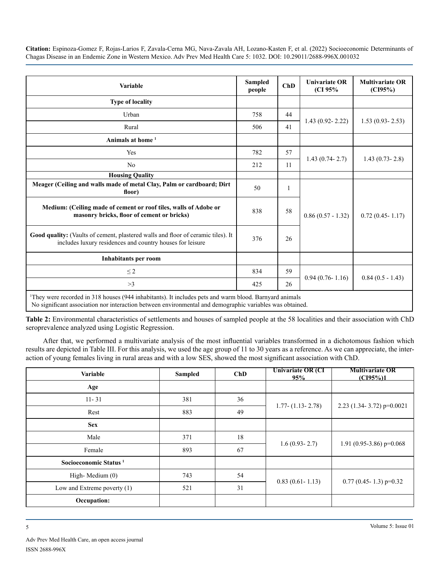| Variable                                                                                                                                                                                                                       |     | ChD          | <b>Univariate OR</b><br>(CI 95% | <b>Multivariate OR</b><br>(CI95%) |
|--------------------------------------------------------------------------------------------------------------------------------------------------------------------------------------------------------------------------------|-----|--------------|---------------------------------|-----------------------------------|
| <b>Type of locality</b>                                                                                                                                                                                                        |     |              |                                 |                                   |
| Urban                                                                                                                                                                                                                          | 758 | 44           |                                 | $1.53(0.93 - 2.53)$               |
| Rural                                                                                                                                                                                                                          | 506 | 41           | $1.43(0.92 - 2.22)$             |                                   |
| Animals at home <sup>1</sup>                                                                                                                                                                                                   |     |              |                                 |                                   |
| Yes                                                                                                                                                                                                                            | 782 | 57           |                                 | $1.43(0.73 - 2.8)$                |
| N <sub>0</sub>                                                                                                                                                                                                                 | 212 | 11           | $1.43(0.74 - 2.7)$              |                                   |
| <b>Housing Quality</b>                                                                                                                                                                                                         |     |              |                                 |                                   |
| Meager (Ceiling and walls made of metal Clay, Palm or cardboard; Dirt<br>floor)                                                                                                                                                | 50  | $\mathbf{1}$ |                                 | $0.72(0.45 - 1.17)$               |
| Medium: (Ceiling made of cement or roof tiles, walls of Adobe or<br>masonry bricks, floor of cement or bricks)                                                                                                                 | 838 | 58           | $0.86(0.57 - 1.32)$             |                                   |
| Good quality: (Vaults of cement, plastered walls and floor of ceramic tiles). It<br>includes luxury residences and country houses for leisure                                                                                  | 376 | 26           |                                 |                                   |
| <b>Inhabitants per room</b>                                                                                                                                                                                                    |     |              |                                 |                                   |
| $\leq$ 2                                                                                                                                                                                                                       | 834 | 59           |                                 | $0.84(0.5 - 1.43)$                |
| >3                                                                                                                                                                                                                             | 425 | 26           | $0.94(0.76 - 1.16)$             |                                   |
| <sup>1</sup> They were recorded in 318 houses (944 inhabitants). It includes pets and warm blood. Barnyard animals<br>No significant association nor interaction between environmental and demographic variables was obtained. |     |              |                                 |                                   |

**Table 2:** Environmental characteristics of settlements and houses of sampled people at the 58 localities and their association with ChD seroprevalence analyzed using Logistic Regression.

After that, we performed a multivariate analysis of the most influential variables transformed in a dichotomous fashion which results are depicted in Table III. For this analysis, we used the age group of 11 to 30 years as a reference. As we can appreciate, the interaction of young females living in rural areas and with a low SES, showed the most significant association with ChD.

| <b>Variable</b>                   | <b>Sampled</b> | ChD | <b>Univariate OR (CI</b><br>95% | <b>Multivariate OR</b><br>(C195%)1 |
|-----------------------------------|----------------|-----|---------------------------------|------------------------------------|
| Age                               |                |     |                                 |                                    |
| $11 - 31$                         | 381            | 36  |                                 | 2.23 (1.34-3.72) $p=0.0021$        |
| Rest                              | 883            | 49  | $1.77 - (1.13 - 2.78)$          |                                    |
| <b>Sex</b>                        |                |     |                                 |                                    |
| Male                              | 371            | 18  |                                 | 1.91 (0.95-3.86) $p=0.068$         |
| Female                            | 893            | 67  | $1.6(0.93 - 2.7)$               |                                    |
| Socioeconomic Status <sup>1</sup> |                |     |                                 |                                    |
| High-Medium (0)                   | 743            | 54  |                                 | $0.77$ (0.45-1.3) p=0.32           |
| Low and Extreme poverty (1)       | 521            | 31  | $0.83(0.61 - 1.13)$             |                                    |
| Occupation:                       |                |     |                                 |                                    |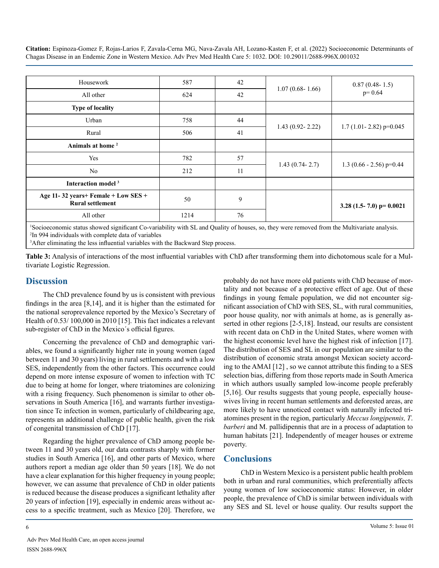| Housework                                                          | 587                                                                                                                                                                                                                                                                                              | 42 | $1.07(0.68 - 1.66)$ | $0.87(0.48-1.5)$<br>$p=0.64$                                                                                                            |  |
|--------------------------------------------------------------------|--------------------------------------------------------------------------------------------------------------------------------------------------------------------------------------------------------------------------------------------------------------------------------------------------|----|---------------------|-----------------------------------------------------------------------------------------------------------------------------------------|--|
| All other                                                          | 624                                                                                                                                                                                                                                                                                              | 42 |                     |                                                                                                                                         |  |
| <b>Type of locality</b>                                            |                                                                                                                                                                                                                                                                                                  |    |                     |                                                                                                                                         |  |
| Urban                                                              | 758                                                                                                                                                                                                                                                                                              | 44 |                     | $1.7(1.01 - 2.82) p=0.045$                                                                                                              |  |
| Rural                                                              | 506                                                                                                                                                                                                                                                                                              | 41 | $1.43(0.92 - 2.22)$ |                                                                                                                                         |  |
| Animals at home <sup>2</sup>                                       |                                                                                                                                                                                                                                                                                                  |    |                     |                                                                                                                                         |  |
| Yes                                                                | 782                                                                                                                                                                                                                                                                                              | 57 |                     | 1.3 $(0.66 - 2.56)$ p=0.44                                                                                                              |  |
| N <sub>0</sub>                                                     | 212                                                                                                                                                                                                                                                                                              | 11 | $1.43(0.74 - 2.7)$  |                                                                                                                                         |  |
| Interaction model <sup>3</sup>                                     |                                                                                                                                                                                                                                                                                                  |    |                     |                                                                                                                                         |  |
| Age 11-32 years+ Female + Low SES +<br><b>Rural settlement</b>     | 50                                                                                                                                                                                                                                                                                               | 9  |                     | 3.28 (1.5-7.0) p= $0.0021$                                                                                                              |  |
| All other                                                          | 1214                                                                                                                                                                                                                                                                                             | 76 |                     |                                                                                                                                         |  |
| $1\alpha$ $\cdots$<br>$\mathcal{L}$ , and the set of $\mathcal{L}$ | $\mathbf{r}$ and $\mathbf{r}$ and $\mathbf{r}$ and $\mathbf{r}$ and $\mathbf{r}$ and $\mathbf{r}$ and $\mathbf{r}$ and $\mathbf{r}$ and $\mathbf{r}$ and $\mathbf{r}$ and $\mathbf{r}$ and $\mathbf{r}$ and $\mathbf{r}$ and $\mathbf{r}$ and $\mathbf{r}$ and $\mathbf{r}$ and $\mathbf{r}$ and |    | $\cdot$ 1           | $\mathbf{1} \times \mathbf{1}$ and $\mathbf{1} \times \mathbf{1}$ and $\mathbf{1} \times \mathbf{1}$ and $\mathbf{1} \times \mathbf{1}$ |  |

1 Socioeconomic status showed significant Co-variability with SL and Quality of houses, so, they were removed from the Multivariate analysis. 2 In 994 individuals with complete data of variables

<sup>3</sup>After eliminating the less influential variables with the Backward Step process.

**Table 3:** Analysis of interactions of the most influential variables with ChD after transforming them into dichotomous scale for a Multivariate Logistic Regression.

## **Discussion**

The ChD prevalence found by us is consistent with previous findings in the area [8,14], and it is higher than the estimated for the national seroprevalence reported by the Mexico's Secretary of Health of 0.53/ 100,000 in 2010 [15]. This fact indicates a relevant sub-register of ChD in the Mexico´s official figures.

Concerning the prevalence of ChD and demographic variables, we found a significantly higher rate in young women (aged between 11 and 30 years) living in rural settlements and with a low SES, independently from the other factors. This occurrence could depend on more intense exposure of women to infection with TC due to being at home for longer, where triatomines are colonizing with a rising frequency. Such phenomenon is similar to other observations in South America [16], and warrants further investigation since Tc infection in women, particularly of childbearing age, represents an additional challenge of public health, given the risk of congenital transmission of ChD [17].

Regarding the higher prevalence of ChD among people between 11 and 30 years old, our data contrasts sharply with former studies in South America [16], and other parts of Mexico, where authors report a median age older than 50 years [18]. We do not have a clear explanation for this higher frequency in young people; however, we can assume that prevalence of ChD in older patients is reduced because the disease produces a significant lethality after 20 years of infection [19], especially in endemic areas without access to a specific treatment, such as Mexico [20]. Therefore, we probably do not have more old patients with ChD because of mortality and not because of a protective effect of age. Out of these findings in young female population, we did not encounter significant association of ChD with SES, SL, with rural communities, poor house quality, nor with animals at home, as is generally asserted in other regions [2-5,18]. Instead, our results are consistent with recent data on ChD in the United States, where women with the highest economic level have the highest risk of infection [17]. The distribution of SES and SL in our population are similar to the distribution of economic strata amongst Mexican society according to the AMAI [12] , so we cannot attribute this finding to a SES selection bias, differing from those reports made in South America in which authors usually sampled low-income people preferably [5,16]. Our results suggests that young people, especially housewives living in recent human settlements and deforested areas, are more likely to have unnoticed contact with naturally infected triatomines present in the region, particularly *Meccus longipennis, T*. *barberi* and M. pallidipennis that are in a process of adaptation to human habitats [21]. Independently of meager houses or extreme poverty.

## **Conclusions**

ChD in Western Mexico is a persistent public health problem both in urban and rural communities, which preferentially affects young women of low socioeconomic status: However, in older people, the prevalence of ChD is similar between individuals with any SES and SL level or house quality. Our results support the